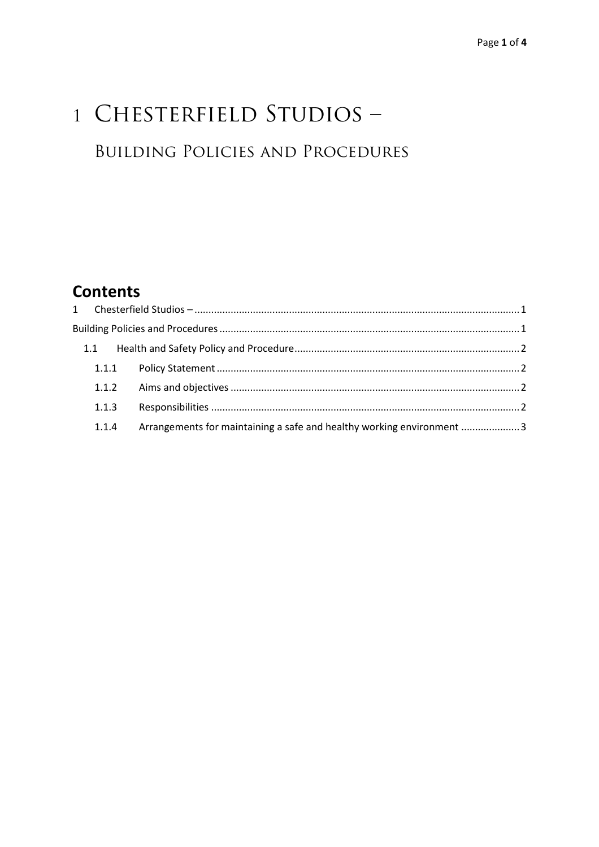# 1 CHESTERFIELD STUDIOS -**BUILDING POLICIES AND PROCEDURES**

## **Contents**

| 1.1   |                                                                        |  |
|-------|------------------------------------------------------------------------|--|
|       |                                                                        |  |
|       |                                                                        |  |
| 1.1.3 |                                                                        |  |
| 1.1.4 | Arrangements for maintaining a safe and healthy working environment  3 |  |
|       |                                                                        |  |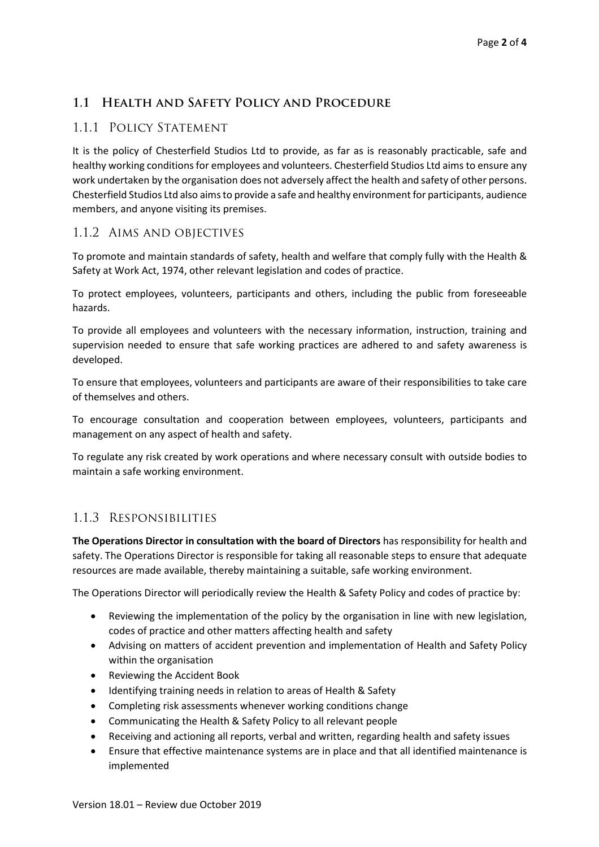#### **1.1 Health and Safety Policy and Procedure**

#### 1.1.1 Policy Statement

It is the policy of Chesterfield Studios Ltd to provide, as far as is reasonably practicable, safe and healthy working conditions for employees and volunteers. Chesterfield Studios Ltd aims to ensure any work undertaken by the organisation does not adversely affect the health and safety of other persons. Chesterfield Studios Ltd also aims to provide a safe and healthy environment for participants, audience members, and anyone visiting its premises.

#### 1.1.2 Aims and objectives

To promote and maintain standards of safety, health and welfare that comply fully with the Health & Safety at Work Act, 1974, other relevant legislation and codes of practice.

To protect employees, volunteers, participants and others, including the public from foreseeable hazards.

To provide all employees and volunteers with the necessary information, instruction, training and supervision needed to ensure that safe working practices are adhered to and safety awareness is developed.

To ensure that employees, volunteers and participants are aware of their responsibilities to take care of themselves and others.

To encourage consultation and cooperation between employees, volunteers, participants and management on any aspect of health and safety.

To regulate any risk created by work operations and where necessary consult with outside bodies to maintain a safe working environment.

#### 1.1.3 Responsibilities

**The Operations Director in consultation with the board of Directors** has responsibility for health and safety. The Operations Director is responsible for taking all reasonable steps to ensure that adequate resources are made available, thereby maintaining a suitable, safe working environment.

The Operations Director will periodically review the Health & Safety Policy and codes of practice by:

- Reviewing the implementation of the policy by the organisation in line with new legislation, codes of practice and other matters affecting health and safety
- Advising on matters of accident prevention and implementation of Health and Safety Policy within the organisation
- Reviewing the Accident Book
- Identifying training needs in relation to areas of Health & Safety
- Completing risk assessments whenever working conditions change
- Communicating the Health & Safety Policy to all relevant people
- Receiving and actioning all reports, verbal and written, regarding health and safety issues
- Ensure that effective maintenance systems are in place and that all identified maintenance is implemented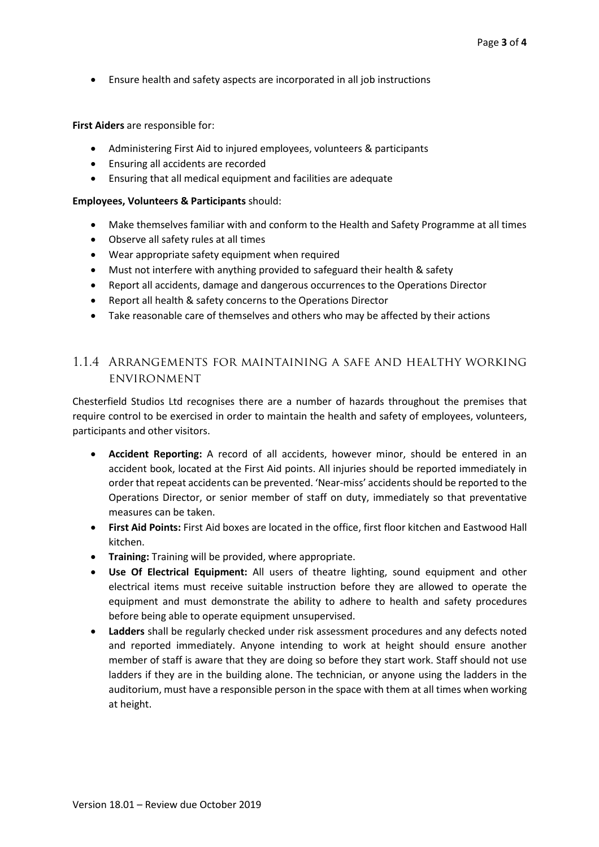Ensure health and safety aspects are incorporated in all job instructions

**First Aiders** are responsible for:

- Administering First Aid to injured employees, volunteers & participants
- Ensuring all accidents are recorded
- Ensuring that all medical equipment and facilities are adequate

#### **Employees, Volunteers & Participants** should:

- Make themselves familiar with and conform to the Health and Safety Programme at all times
- Observe all safety rules at all times
- Wear appropriate safety equipment when required
- Must not interfere with anything provided to safeguard their health & safety
- Report all accidents, damage and dangerous occurrences to the Operations Director
- Report all health & safety concerns to the Operations Director
- Take reasonable care of themselves and others who may be affected by their actions

### 1.1.4 Arrangements for maintaining a safe and healthy working environment

Chesterfield Studios Ltd recognises there are a number of hazards throughout the premises that require control to be exercised in order to maintain the health and safety of employees, volunteers, participants and other visitors.

- **Accident Reporting:** A record of all accidents, however minor, should be entered in an accident book, located at the First Aid points. All injuries should be reported immediately in order that repeat accidents can be prevented. 'Near-miss' accidents should be reported to the Operations Director, or senior member of staff on duty, immediately so that preventative measures can be taken.
- **First Aid Points:** First Aid boxes are located in the office, first floor kitchen and Eastwood Hall kitchen.
- **Training:** Training will be provided, where appropriate.
- **Use Of Electrical Equipment:** All users of theatre lighting, sound equipment and other electrical items must receive suitable instruction before they are allowed to operate the equipment and must demonstrate the ability to adhere to health and safety procedures before being able to operate equipment unsupervised.
- **Ladders** shall be regularly checked under risk assessment procedures and any defects noted and reported immediately. Anyone intending to work at height should ensure another member of staff is aware that they are doing so before they start work. Staff should not use ladders if they are in the building alone. The technician, or anyone using the ladders in the auditorium, must have a responsible person in the space with them at all times when working at height.